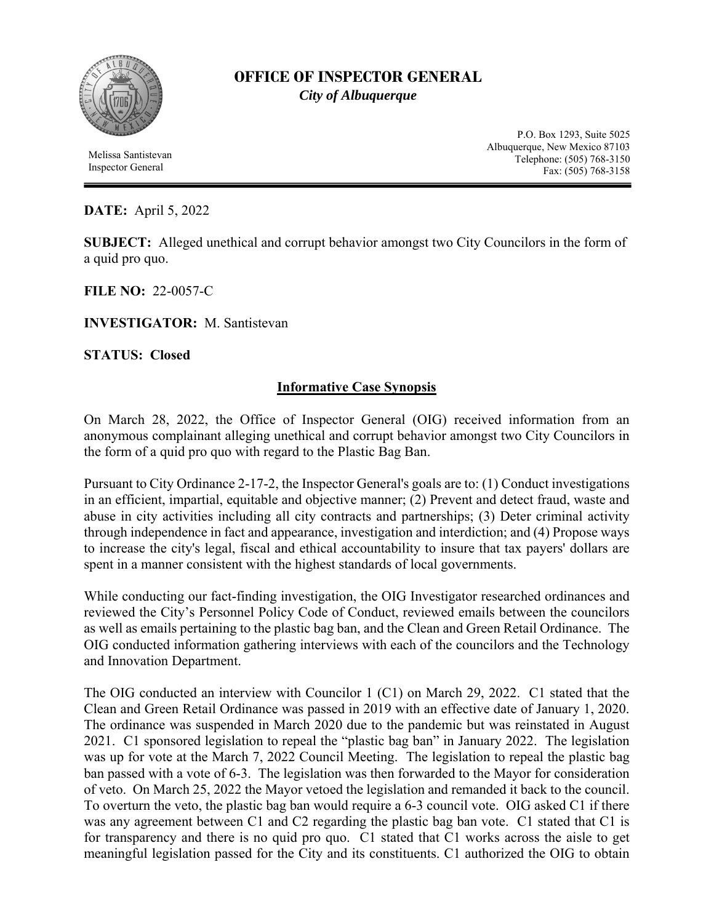

## **OFFICE OF INSPECTOR GENERAL**  *City of Albuquerque*

 Melissa Santistevan Inspector General

P.O. Box 1293, Suite 5025 Albuquerque, New Mexico 87103 Telephone: (505) 768-3150 Fax: (505) 768-3158

## **DATE:** April 5, 2022

**SUBJECT:** Alleged unethical and corrupt behavior amongst two City Councilors in the form of a quid pro quo.

**FILE NO:** 22-0057-C

**INVESTIGATOR:** M. Santistevan

**STATUS: Closed**

## **Informative Case Synopsis**

On March 28, 2022, the Office of Inspector General (OIG) received information from an anonymous complainant alleging unethical and corrupt behavior amongst two City Councilors in the form of a quid pro quo with regard to the Plastic Bag Ban.

Pursuant to City Ordinance 2-17-2, the Inspector General's goals are to: (1) Conduct investigations in an efficient, impartial, equitable and objective manner; (2) Prevent and detect fraud, waste and abuse in city activities including all city contracts and partnerships; (3) Deter criminal activity through independence in fact and appearance, investigation and interdiction; and (4) Propose ways to increase the city's legal, fiscal and ethical accountability to insure that tax payers' dollars are spent in a manner consistent with the highest standards of local governments.

While conducting our fact-finding investigation, the OIG Investigator researched ordinances and reviewed the City's Personnel Policy Code of Conduct, reviewed emails between the councilors as well as emails pertaining to the plastic bag ban, and the Clean and Green Retail Ordinance. The OIG conducted information gathering interviews with each of the councilors and the Technology and Innovation Department.

The OIG conducted an interview with Councilor 1 (C1) on March 29, 2022. C1 stated that the Clean and Green Retail Ordinance was passed in 2019 with an effective date of January 1, 2020. The ordinance was suspended in March 2020 due to the pandemic but was reinstated in August 2021. C1 sponsored legislation to repeal the "plastic bag ban" in January 2022. The legislation was up for vote at the March 7, 2022 Council Meeting. The legislation to repeal the plastic bag ban passed with a vote of 6-3. The legislation was then forwarded to the Mayor for consideration of veto. On March 25, 2022 the Mayor vetoed the legislation and remanded it back to the council. To overturn the veto, the plastic bag ban would require a 6-3 council vote. OIG asked C1 if there was any agreement between C1 and C2 regarding the plastic bag ban vote. C1 stated that C1 is for transparency and there is no quid pro quo. C1 stated that C1 works across the aisle to get meaningful legislation passed for the City and its constituents. C1 authorized the OIG to obtain